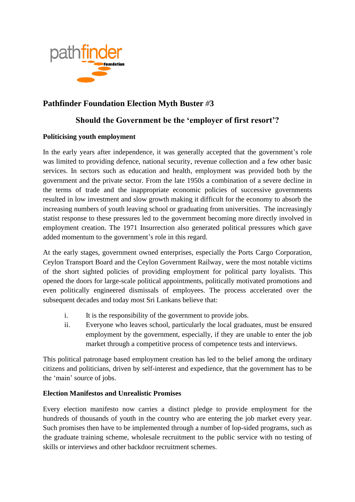

# **Pathfinder Foundation Election Myth Buster** *#***3**

## **Should the Government be the 'employer of first resort'?**

#### **Politicising youth employment**

In the early years after independence, it was generally accepted that the government's role was limited to providing defence, national security, revenue collection and a few other basic services. In sectors such as education and health, employment was provided both by the government and the private sector. From the late 1950s a combination of a severe decline in the terms of trade and the inappropriate economic policies of successive governments resulted in low investment and slow growth making it difficult for the economy to absorb the increasing numbers of youth leaving school or graduating from universities. The increasingly statist response to these pressures led to the government becoming more directly involved in employment creation. The 1971 Insurrection also generated political pressures which gave added momentum to the government's role in this regard.

At the early stages, government owned enterprises, especially the Ports Cargo Corporation, Ceylon Transport Board and the Ceylon Government Railway, were the most notable victims of the short sighted policies of providing employment for political party loyalists. This opened the doors for large-scale political appointments, politically motivated promotions and even politically engineered dismissals of employees. The process accelerated over the subsequent decades and today most Sri Lankans believe that:

- i. It is the responsibility of the government to provide jobs.
- ii. Everyone who leaves school, particularly the local graduates, must be ensured employment by the government, especially, if they are unable to enter the job market through a competitive process of competence tests and interviews.

This political patronage based employment creation has led to the belief among the ordinary citizens and politicians, driven by self-interest and expedience, that the government has to be the 'main' source of jobs.

#### **Election Manifestos and Unrealistic Promises**

Every election manifesto now carries a distinct pledge to provide employment for the hundreds of thousands of youth in the country who are entering the job market every year. Such promises then have to be implemented through a number of lop-sided programs, such as the graduate training scheme, wholesale recruitment to the public service with no testing of skills or interviews and other backdoor recruitment schemes.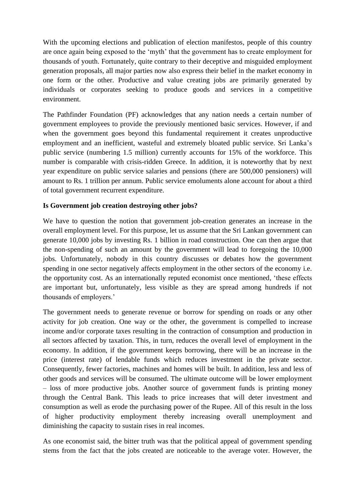With the upcoming elections and publication of election manifestos, people of this country are once again being exposed to the 'myth' that the government has to create employment for thousands of youth. Fortunately, quite contrary to their deceptive and misguided employment generation proposals, all major parties now also express their belief in the market economy in one form or the other. Productive and value creating jobs are primarily generated by individuals or corporates seeking to produce goods and services in a competitive environment.

The Pathfinder Foundation (PF) acknowledges that any nation needs a certain number of government employees to provide the previously mentioned basic services. However, if and when the government goes beyond this fundamental requirement it creates unproductive employment and an inefficient, wasteful and extremely bloated public service. Sri Lanka's public service (numbering 1.5 million) currently accounts for 15% of the workforce. This number is comparable with crisis-ridden Greece. In addition, it is noteworthy that by next year expenditure on public service salaries and pensions (there are 500,000 pensioners) will amount to Rs. 1 trillion per annum. Public service emoluments alone account for about a third of total government recurrent expenditure.

#### **Is Government job creation destroying other jobs?**

We have to question the notion that government job-creation generates an increase in the overall employment level. For this purpose, let us assume that the Sri Lankan government can generate 10,000 jobs by investing Rs. 1 billion in road construction. One can then argue that the non-spending of such an amount by the government will lead to foregoing the 10,000 jobs. Unfortunately, nobody in this country discusses or debates how the government spending in one sector negatively affects employment in the other sectors of the economy i.e. the opportunity cost. As an internationally reputed economist once mentioned, 'these effects are important but, unfortunately, less visible as they are spread among hundreds if not thousands of employers.'

The government needs to generate revenue or borrow for spending on roads or any other activity for job creation. One way or the other, the government is compelled to increase income and/or corporate taxes resulting in the contraction of consumption and production in all sectors affected by taxation. This, in turn, reduces the overall level of employment in the economy. In addition, if the government keeps borrowing, there will be an increase in the price (interest rate) of lendable funds which reduces investment in the private sector. Consequently, fewer factories, machines and homes will be built. In addition, less and less of other goods and services will be consumed. The ultimate outcome will be lower employment – loss of more productive jobs. Another source of government funds is printing money through the Central Bank. This leads to price increases that will deter investment and consumption as well as erode the purchasing power of the Rupee. All of this result in the loss of higher productivity employment thereby increasing overall unemployment and diminishing the capacity to sustain rises in real incomes.

As one economist said, the bitter truth was that the political appeal of government spending stems from the fact that the jobs created are noticeable to the average voter. However, the